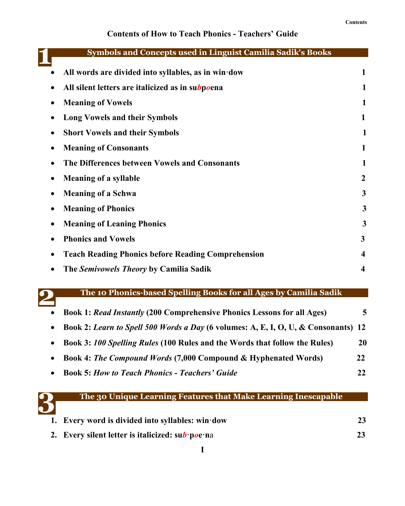## **Contents of How to Teach Phonics - Teachers' Guide**

| <b>Symbols and Concepts used in Linguist Camilia Sadik's Books</b> |                  |
|--------------------------------------------------------------------|------------------|
| All words are divided into syllables, as in win dow                | 1                |
| All silent letters are italicized as in subpoena                   | 1                |
| <b>Meaning of Vowels</b>                                           | 1                |
| <b>Long Vowels and their Symbols</b>                               | 1                |
| <b>Short Vowels and their Symbols</b>                              | 1                |
| <b>Meaning of Consonants</b>                                       |                  |
| The Differences between Vowels and Consonants                      | 1                |
| <b>Meaning of a syllable</b>                                       | $\boldsymbol{2}$ |
| <b>Meaning of a Schwa</b>                                          | 3                |
| <b>Meaning of Phonics</b>                                          | 3                |
| <b>Meaning of Leaning Phonics</b>                                  | 3                |
| <b>Phonics and Vowels</b>                                          | 3                |
| <b>Teach Reading Phonics before Reading Comprehension</b>          | $\boldsymbol{4}$ |
| The Semivowels Theory by Camilia Sadik                             | $\boldsymbol{4}$ |



### **The 10 Phonics-based Spelling Books for all Ages by Camilia Sadik**

| $\bullet$ | <b>Book 1: Read Instantly (200 Comprehensive Phonics Lessons for all Ages)</b>     | 5  |  |
|-----------|------------------------------------------------------------------------------------|----|--|
| $\bullet$ | Book 2: Learn to Spell 500 Words a Day (6 volumes: A, E, I, O, U, & Consonants) 12 |    |  |
| $\bullet$ | Book 3: 100 Spelling Rules (100 Rules and the Words that follow the Rules)         | 20 |  |
| $\bullet$ | <b>Book 4: The Compound Words (7,000 Compound &amp; Hyphenated Words)</b>          | 22 |  |
|           | <b>Book 5: How to Teach Phonics - Teachers' Guide</b>                              | 22 |  |

|   | The 30 Unique Learning Features that Make Learning Inescapable $^\prime$ |  |
|---|--------------------------------------------------------------------------|--|
| 3 |                                                                          |  |
|   | 1. Every word is divided into syllables: win dow                         |  |

**2. Every silent letter is italicized: su***b***·p***o***e·n**a **23**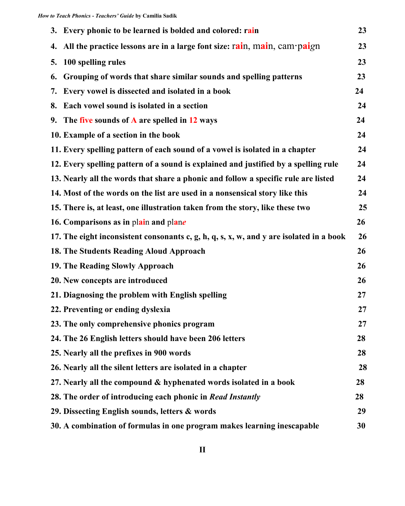|    | 3. Every phonic to be learned is bolded and colored: rain                               | 23 |
|----|-----------------------------------------------------------------------------------------|----|
|    | 4. All the practice lessons are in a large font size: $rain$ , $main$ , $cam$ $pai$ gn  | 23 |
| 5. | 100 spelling rules                                                                      | 23 |
| 6. | Grouping of words that share similar sounds and spelling patterns                       | 23 |
|    | 7. Every vowel is dissected and isolated in a book                                      | 24 |
| 8. | Each vowel sound is isolated in a section                                               | 24 |
|    | 9. The five sounds of $\bf{A}$ are spelled in 12 ways                                   | 24 |
|    | 10. Example of a section in the book                                                    | 24 |
|    | 11. Every spelling pattern of each sound of a vowel is isolated in a chapter            | 24 |
|    | 12. Every spelling pattern of a sound is explained and justified by a spelling rule     | 24 |
|    | 13. Nearly all the words that share a phonic and follow a specific rule are listed      | 24 |
|    | 14. Most of the words on the list are used in a nonsensical story like this             | 24 |
|    | 15. There is, at least, one illustration taken from the story, like these two           | 25 |
|    | 16. Comparisons as in plain and plane                                                   | 26 |
|    | 17. The eight inconsistent consonants c, g, h, q, s, x, w, and y are isolated in a book | 26 |
|    | 18. The Students Reading Aloud Approach                                                 | 26 |
|    | 19. The Reading Slowly Approach                                                         | 26 |
|    | 20. New concepts are introduced                                                         | 26 |
|    | 21. Diagnosing the problem with English spelling                                        | 27 |
|    | 22. Preventing or ending dyslexia                                                       | 27 |
|    | 23. The only comprehensive phonics program                                              | 27 |
|    | 24. The 26 English letters should have been 206 letters                                 | 28 |
|    | 25. Nearly all the prefixes in 900 words                                                | 28 |
|    | 26. Nearly all the silent letters are isolated in a chapter                             | 28 |
|    | 27. Nearly all the compound & hyphenated words isolated in a book                       | 28 |
|    | 28. The order of introducing each phonic in Read Instantly                              | 28 |
|    | 29. Dissecting English sounds, letters & words                                          | 29 |
|    | 30. A combination of formulas in one program makes learning inescapable                 | 30 |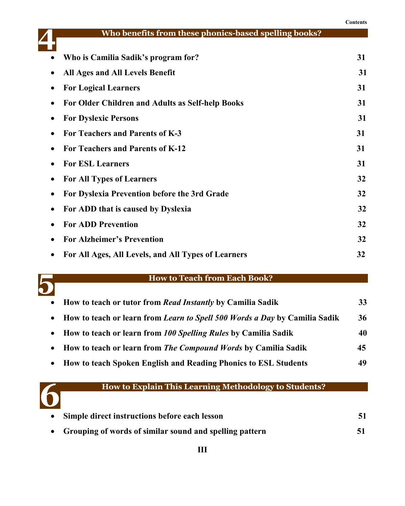|           |                                                       | Contents |
|-----------|-------------------------------------------------------|----------|
|           | Who benefits from these phonics-based spelling books? |          |
|           | Who is Camilia Sadik's program for?                   | 31       |
| ٠         | <b>All Ages and All Levels Benefit</b>                | 31       |
| $\bullet$ | <b>For Logical Learners</b>                           | 31       |
|           | For Older Children and Adults as Self-help Books      | 31       |
|           | <b>For Dyslexic Persons</b>                           | 31       |
|           | For Teachers and Parents of K-3                       | 31       |
|           | For Teachers and Parents of K-12                      | 31       |
|           | <b>For ESL Learners</b>                               | 31       |
|           | <b>For All Types of Learners</b>                      | 32       |
| ٠         | For Dyslexia Prevention before the 3rd Grade          | 32       |
| $\bullet$ | For ADD that is caused by Dyslexia                    | 32       |
|           | <b>For ADD Prevention</b>                             | 32       |
|           | <b>For Alzheimer's Prevention</b>                     | 32       |
|           | For All Ages, All Levels, and All Types of Learners   | 32       |



#### **How to Teach from Each Book?**

| • How to teach or tutor from Read Instantly by Camilia Sadik                 | 33 |
|------------------------------------------------------------------------------|----|
| • How to teach or learn from Learn to Spell 500 Words a Day by Camilia Sadik | 36 |
| • How to teach or learn from 100 Spelling Rules by Camilia Sadik             | 40 |
| • How to teach or learn from The Compound Words by Camilia Sadik             | 45 |
| • How to teach Spoken English and Reading Phonics to ESL Students            | 49 |



# **How to Explain This Learning Methodology to Students?**

| • Simple direct instructions before each lesson           |    |
|-----------------------------------------------------------|----|
| • Grouping of words of similar sound and spelling pattern | 51 |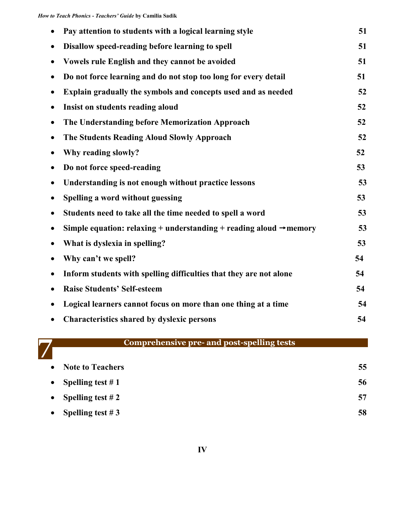| Pay attention to students with a logical learning style                         | 51 |
|---------------------------------------------------------------------------------|----|
| Disallow speed-reading before learning to spell                                 | 51 |
| Vowels rule English and they cannot be avoided                                  | 51 |
| Do not force learning and do not stop too long for every detail<br>٠            | 51 |
| Explain gradually the symbols and concepts used and as needed                   | 52 |
| Insist on students reading aloud<br>٠                                           | 52 |
| The Understanding before Memorization Approach<br>$\bullet$                     | 52 |
| The Students Reading Aloud Slowly Approach<br>$\bullet$                         | 52 |
| Why reading slowly?                                                             | 52 |
| Do not force speed-reading                                                      | 53 |
| Understanding is not enough without practice lessons                            | 53 |
| Spelling a word without guessing<br>$\bullet$                                   | 53 |
| Students need to take all the time needed to spell a word                       | 53 |
| Simple equation: relaxing + understanding + reading aloud $\rightarrow$ memory  | 53 |
| What is dyslexia in spelling?<br>$\bullet$                                      | 53 |
| Why can't we spell?<br>$\bullet$                                                | 54 |
| Inform students with spelling difficulties that they are not alone<br>$\bullet$ | 54 |
| <b>Raise Students' Self-esteem</b>                                              | 54 |
| Logical learners cannot focus on more than one thing at a time                  | 54 |
| <b>Characteristics shared by dyslexic persons</b>                               | 54 |



### **Comprehensive pre- and post-spelling tests**

| $\bullet$ | <b>Note to Teachers</b> | 55 |
|-----------|-------------------------|----|
|           | • Spelling test $\# 1$  | 56 |
|           | • Spelling test $\# 2$  | 57 |
| $\bullet$ | Spelling test #3        | 58 |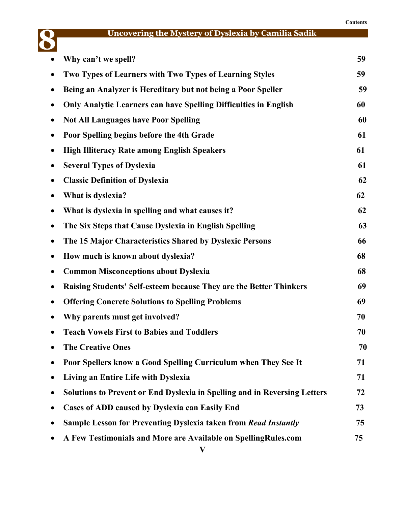#### **Contents**



# **Uncovering the Mystery of Dyslexia by Camilia Sadik**

| $\bullet$ | Why can't we spell?                                                       | 59 |
|-----------|---------------------------------------------------------------------------|----|
|           | Two Types of Learners with Two Types of Learning Styles                   | 59 |
|           | Being an Analyzer is Hereditary but not being a Poor Speller              | 59 |
|           | <b>Only Analytic Learners can have Spelling Difficulties in English</b>   | 60 |
|           | <b>Not All Languages have Poor Spelling</b>                               | 60 |
|           | Poor Spelling begins before the 4th Grade                                 | 61 |
|           | <b>High Illiteracy Rate among English Speakers</b>                        | 61 |
|           | <b>Several Types of Dyslexia</b>                                          | 61 |
|           | <b>Classic Definition of Dyslexia</b>                                     | 62 |
|           | What is dyslexia?                                                         | 62 |
|           | What is dyslexia in spelling and what causes it?                          | 62 |
|           | The Six Steps that Cause Dyslexia in English Spelling                     | 63 |
|           | The 15 Major Characteristics Shared by Dyslexic Persons                   | 66 |
|           | How much is known about dyslexia?                                         | 68 |
|           | <b>Common Misconceptions about Dyslexia</b>                               | 68 |
|           | Raising Students' Self-esteem because They are the Better Thinkers        | 69 |
|           | <b>Offering Concrete Solutions to Spelling Problems</b>                   | 69 |
|           | Why parents must get involved?                                            | 70 |
|           | <b>Teach Vowels First to Babies and Toddlers</b>                          | 70 |
|           | <b>The Creative Ones</b>                                                  | 70 |
|           | Poor Spellers know a Good Spelling Curriculum when They See It            | 71 |
|           | Living an Entire Life with Dyslexia                                       | 71 |
|           | Solutions to Prevent or End Dyslexia in Spelling and in Reversing Letters | 72 |
|           | Cases of ADD caused by Dyslexia can Easily End                            | 73 |
|           | Sample Lesson for Preventing Dyslexia taken from Read Instantly           | 75 |
|           | A Few Testimonials and More are Available on SpellingRules.com            | 75 |
|           |                                                                           |    |